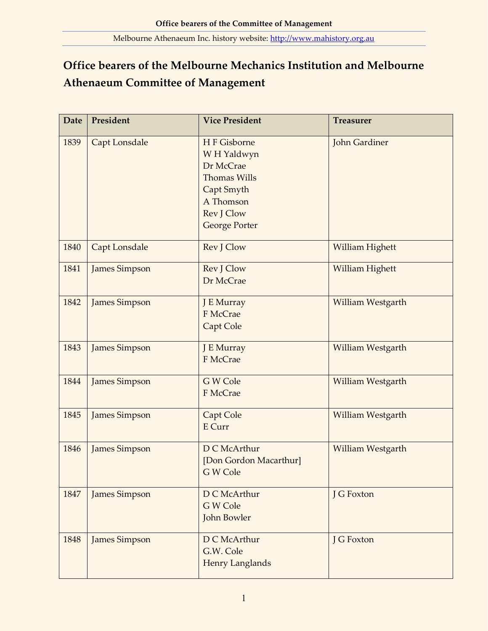## **Office bearers of the Melbourne Mechanics Institution and Melbourne Athenaeum Committee of Management**

| <b>Date</b> | President            | <b>Vice President</b>                                                                                                           | <b>Treasurer</b>         |
|-------------|----------------------|---------------------------------------------------------------------------------------------------------------------------------|--------------------------|
| 1839        | <b>Capt Lonsdale</b> | H F Gisborne<br>WH Yaldwyn<br>Dr McCrae<br><b>Thomas Wills</b><br>Capt Smyth<br>A Thomson<br>Rev J Clow<br><b>George Porter</b> | John Gardiner            |
| 1840        | <b>Capt Lonsdale</b> | Rev J Clow                                                                                                                      | William Highett          |
| 1841        | James Simpson        | Rev J Clow<br>Dr McCrae                                                                                                         | William Highett          |
| 1842        | <b>James Simpson</b> | J E Murray<br>F McCrae<br>Capt Cole                                                                                             | William Westgarth        |
| 1843        | <b>James Simpson</b> | J E Murray<br>F McCrae                                                                                                          | <b>William Westgarth</b> |
| 1844        | <b>James Simpson</b> | G W Cole<br>F McCrae                                                                                                            | William Westgarth        |
| 1845        | <b>James Simpson</b> | Capt Cole<br>E Curr                                                                                                             | William Westgarth        |
| 1846        | James Simpson        | D C McArthur<br>[Don Gordon Macarthur]<br>G W Cole                                                                              | William Westgarth        |
| 1847        | <b>James Simpson</b> | D C McArthur<br>G W Cole<br>John Bowler                                                                                         | J G Foxton               |
| 1848        | <b>James Simpson</b> | D C McArthur<br>G.W. Cole<br><b>Henry Langlands</b>                                                                             | J G Foxton               |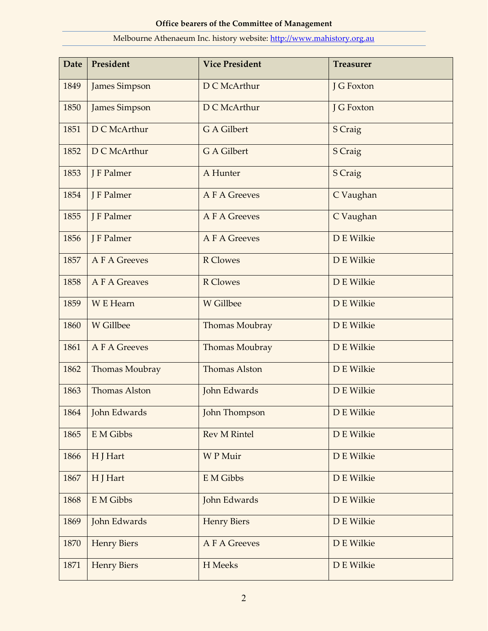| <b>Date</b> | President            | <b>Vice President</b> | <b>Treasurer</b> |
|-------------|----------------------|-----------------------|------------------|
| 1849        | <b>James Simpson</b> | D C McArthur          | J G Foxton       |
| 1850        | <b>James Simpson</b> | D C McArthur          | J G Foxton       |
| 1851        | D C McArthur         | G A Gilbert           | S Craig          |
| 1852        | D C McArthur         | G A Gilbert           | S Craig          |
| 1853        | J F Palmer           | A Hunter              | S Craig          |
| 1854        | J F Palmer           | <b>A F A Greeves</b>  | C Vaughan        |
| 1855        | J F Palmer           | <b>A F A Greeves</b>  | C Vaughan        |
| 1856        | J F Palmer           | <b>A F A Greeves</b>  | D E Wilkie       |
| 1857        | <b>A F A Greeves</b> | <b>R</b> Clowes       | D E Wilkie       |
| 1858        | A F A Greaves        | <b>R</b> Clowes       | D E Wilkie       |
| 1859        | W E Hearn            | W Gillbee             | D E Wilkie       |
| 1860        | W Gillbee            | Thomas Moubray        | D E Wilkie       |
| 1861        | <b>A F A Greeves</b> | Thomas Moubray        | D E Wilkie       |
| 1862        | Thomas Moubray       | <b>Thomas Alston</b>  | D E Wilkie       |
| 1863        | <b>Thomas Alston</b> | John Edwards          | D E Wilkie       |
| 1864        | John Edwards         | John Thompson         | D E Wilkie       |
| 1865        | E M Gibbs            | <b>Rev M Rintel</b>   | D E Wilkie       |
| 1866        | H J Hart             | <b>WP</b> Muir        | D E Wilkie       |
| 1867        | H J Hart             | E M Gibbs             | D E Wilkie       |
| 1868        | E M Gibbs            | John Edwards          | D E Wilkie       |
| 1869        | John Edwards         | <b>Henry Biers</b>    | D E Wilkie       |
| 1870        | <b>Henry Biers</b>   | A F A Greeves         | D E Wilkie       |
| 1871        | <b>Henry Biers</b>   | H Meeks               | D E Wilkie       |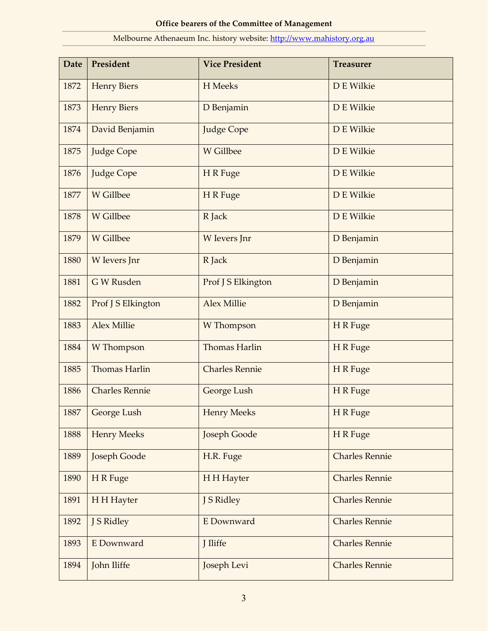| <b>Date</b> | President             | <b>Vice President</b> | <b>Treasurer</b>      |
|-------------|-----------------------|-----------------------|-----------------------|
| 1872        | <b>Henry Biers</b>    | H Meeks               | D E Wilkie            |
| 1873        | <b>Henry Biers</b>    | D Benjamin            | D E Wilkie            |
| 1874        | David Benjamin        | <b>Judge Cope</b>     | D E Wilkie            |
| 1875        | <b>Judge Cope</b>     | W Gillbee             | D E Wilkie            |
| 1876        | <b>Judge Cope</b>     | H R Fuge              | D E Wilkie            |
| 1877        | W Gillbee             | H R Fuge              | D E Wilkie            |
| 1878        | W Gillbee             | R Jack                | D E Wilkie            |
| 1879        | W Gillbee             | W levers Jnr          | D Benjamin            |
| 1880        | W levers Jnr          | R Jack                | D Benjamin            |
| 1881        | G W Rusden            | Prof J S Elkington    | D Benjamin            |
| 1882        | Prof J S Elkington    | <b>Alex Millie</b>    | D Benjamin            |
| 1883        | <b>Alex Millie</b>    | W Thompson            | H R Fuge              |
| 1884        | W Thompson            | <b>Thomas Harlin</b>  | H R Fuge              |
| 1885        | <b>Thomas Harlin</b>  | <b>Charles Rennie</b> | H R Fuge              |
| 1886        | <b>Charles Rennie</b> | George Lush           | H R Fuge              |
| 1887        | George Lush           | <b>Henry Meeks</b>    | H R Fuge              |
| 1888        | <b>Henry Meeks</b>    | <b>Joseph Goode</b>   | H R Fuge              |
| 1889        | <b>Joseph Goode</b>   | H.R. Fuge             | <b>Charles Rennie</b> |
| 1890        | H R Fuge              | H H Hayter            | <b>Charles Rennie</b> |
| 1891        | H H Hayter            | J S Ridley            | <b>Charles Rennie</b> |
| 1892        | J S Ridley            | <b>E</b> Downward     | <b>Charles Rennie</b> |
| 1893        | E Downward            | J Iliffe              | <b>Charles Rennie</b> |
| 1894        | John Iliffe           | Joseph Levi           | <b>Charles Rennie</b> |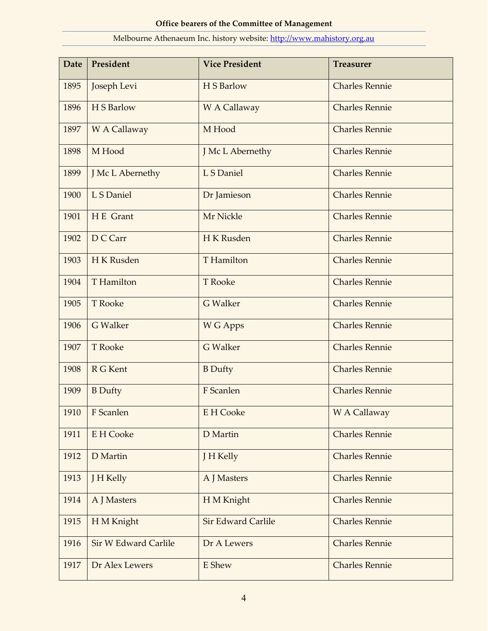| <b>Date</b> | President                   | <b>Vice President</b>     | <b>Treasurer</b>      |
|-------------|-----------------------------|---------------------------|-----------------------|
| 1895        | Joseph Levi                 | H S Barlow                | <b>Charles Rennie</b> |
| 1896        | H S Barlow                  | W A Callaway              | <b>Charles Rennie</b> |
| 1897        | W A Callaway                | M Hood                    | <b>Charles Rennie</b> |
| 1898        | M Hood                      | J Mc L Abernethy          | <b>Charles Rennie</b> |
| 1899        | J Mc L Abernethy            | L S Daniel                | <b>Charles Rennie</b> |
| 1900        | L S Daniel                  | Dr Jamieson               | <b>Charles Rennie</b> |
| 1901        | H E Grant                   | Mr Nickle                 | <b>Charles Rennie</b> |
| 1902        | D C Carr                    | H K Rusden                | <b>Charles Rennie</b> |
| 1903        | H K Rusden                  | <b>T</b> Hamilton         | <b>Charles Rennie</b> |
| 1904        | <b>T</b> Hamilton           | <b>T</b> Rooke            | <b>Charles Rennie</b> |
| 1905        | <b>T</b> Rooke              | <b>G</b> Walker           | <b>Charles Rennie</b> |
| 1906        | <b>G</b> Walker             | W G Apps                  | <b>Charles Rennie</b> |
| 1907        | <b>T</b> Rooke              | <b>G</b> Walker           | <b>Charles Rennie</b> |
| 1908        | R G Kent                    | <b>B</b> Dufty            | <b>Charles Rennie</b> |
| 1909        | <b>B</b> Dufty              | F Scanlen                 | <b>Charles Rennie</b> |
|             | 1910   F Scanlen            | E H Cooke                 | W A Callaway          |
| 1911        | <b>E</b> H Cooke            | D Martin                  | <b>Charles Rennie</b> |
| 1912        | D Martin                    | J H Kelly                 | <b>Charles Rennie</b> |
| 1913        | J H Kelly                   | A J Masters               | <b>Charles Rennie</b> |
| 1914        | A J Masters                 | H M Knight                | <b>Charles Rennie</b> |
| 1915        | H M Knight                  | <b>Sir Edward Carlile</b> | <b>Charles Rennie</b> |
| 1916        | <b>Sir W Edward Carlile</b> | Dr A Lewers               | <b>Charles Rennie</b> |
| 1917        | Dr Alex Lewers              | E Shew                    | <b>Charles Rennie</b> |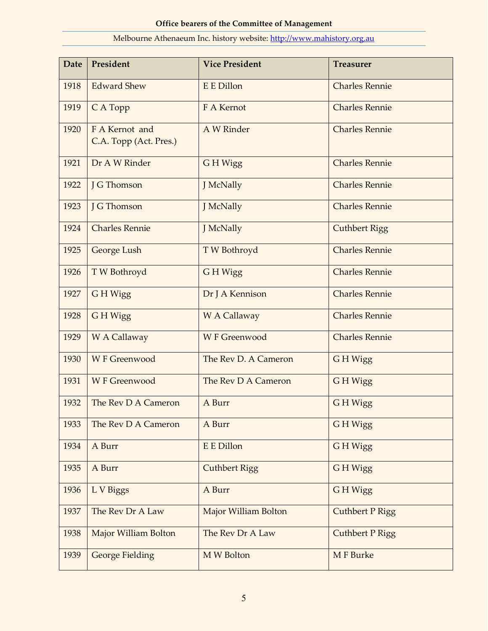# **Date President Vice President Treasurer** 1918 Edward Shew E E Dillon Charles Rennie 1919 C A Topp F A Kernot Charles Rennie 1920 F A Kernot and C.A. Topp (Act. Pres.) A W Rinder Charles Rennie 1921 Dr A W Rinder G H Wigg Charles Rennie 1922 J G Thomson J McNally Charles Rennie 1923 J G Thomson J J McNally Charles Rennie 1924 Charles Rennie J McNally Cuthbert Rigg 1925 George Lush T W Bothroyd Charles Rennie 1926 | T W Bothroyd G H Wigg Charles Rennie 1927 G H Wigg Dr J A Kennison Charles Rennie 1928 G H Wigg W A Callaway Charles Rennie 1929 | W A Callaway | W F Greenwood | Charles Rennie 1930 | W F Greenwood The Rev D. A Cameron G H Wigg 1931 | W F Greenwood | The Rev D A Cameron | G H Wigg 1932 The Rev D A Cameron A Burr G H Wigg 1933 The Rev D A Cameron A Burr G H Wigg 1934 | A Burr **E E Dillon** | E E Dillon | G H Wigg 1935 | A Burr Cuthbert Rigg G H Wigg 1936 L V Biggs A Burr G H Wigg 1937 The Rev Dr A Law Major William Bolton Cuthbert P Rigg 1938 | Major William Bolton | The Rev Dr A Law | Cuthbert P Rigg 1939 George Fielding M W Bolton M M F Burke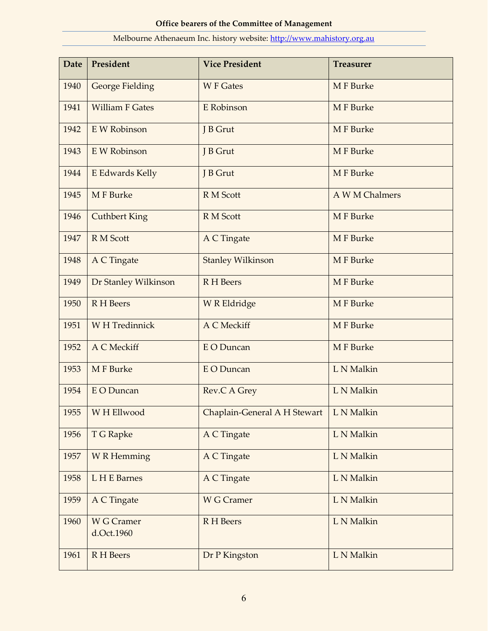| <b>Date</b> | President                       | <b>Vice President</b>                     | <b>Treasurer</b> |
|-------------|---------------------------------|-------------------------------------------|------------------|
| 1940        | <b>George Fielding</b>          | <b>W F Gates</b>                          | M F Burke        |
| 1941        | <b>William F Gates</b>          | E Robinson                                | <b>MF</b> Burke  |
| 1942        | E W Robinson                    | J B Grut                                  | <b>MF</b> Burke  |
| 1943        | E W Robinson                    | J B Grut                                  | <b>MF</b> Burke  |
| 1944        | E Edwards Kelly                 | J B Grut                                  | <b>MF</b> Burke  |
| 1945        | M F Burke                       | R M Scott                                 | A W M Chalmers   |
| 1946        | <b>Cuthbert King</b>            | R M Scott                                 | <b>MF</b> Burke  |
| 1947        | R M Scott                       | A C Tingate                               | M F Burke        |
| 1948        | A C Tingate                     | <b>Stanley Wilkinson</b>                  | M F Burke        |
| 1949        | Dr Stanley Wilkinson            | R H Beers                                 | <b>MF</b> Burke  |
| 1950        | <b>R</b> H Beers                | <b>W R Eldridge</b>                       | <b>MF</b> Burke  |
| 1951        | <b>WH</b> Tredinnick            | A C Meckiff                               | M F Burke        |
| 1952        | A C Meckiff                     | <b>E</b> O Duncan                         | M F Burke        |
| 1953        | M F Burke                       | <b>EO</b> Duncan                          | L N Malkin       |
| 1954        | E O Duncan                      | Rev.C A Grey                              | L N Malkin       |
| 1955        | W H Ellwood                     | Chaplain-General A H Stewart   L N Malkin |                  |
| 1956        | T G Rapke                       | A C Tingate                               | L N Malkin       |
| 1957        | <b>W</b> R Hemming              | A C Tingate                               | L N Malkin       |
| 1958        | L H E Barnes                    | <b>A C Tingate</b>                        | L N Malkin       |
| 1959        | A C Tingate                     | <b>W G Cramer</b>                         | L N Malkin       |
| 1960        | <b>W G Cramer</b><br>d.Oct.1960 | R H Beers                                 | L N Malkin       |
| 1961        | R H Beers                       | Dr P Kingston                             | L N Malkin       |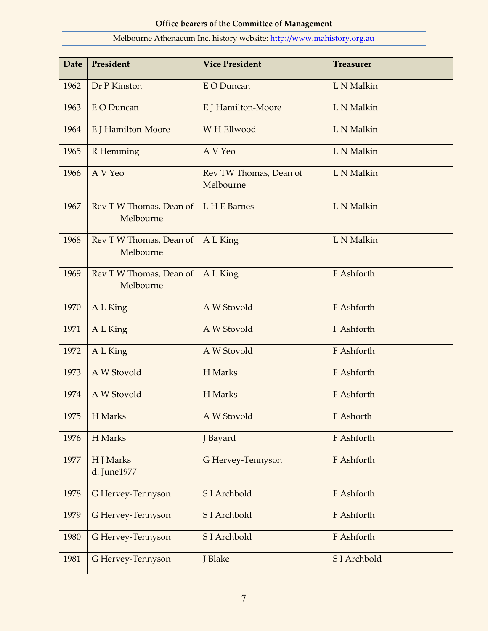| <b>Date</b> | President                            | <b>Vice President</b>               | <b>Treasurer</b> |
|-------------|--------------------------------------|-------------------------------------|------------------|
| 1962        | Dr P Kinston                         | <b>EO</b> Duncan                    | L N Malkin       |
| 1963        | E O Duncan                           | E J Hamilton-Moore                  | L N Malkin       |
| 1964        | E J Hamilton-Moore                   | W H Ellwood                         | L N Malkin       |
| 1965        | R Hemming                            | A V Yeo                             | L N Malkin       |
| 1966        | A V Yeo                              | Rev TW Thomas, Dean of<br>Melbourne | L N Malkin       |
| 1967        | Rev T W Thomas, Dean of<br>Melbourne | L H E Barnes                        | L N Malkin       |
| 1968        | Rev T W Thomas, Dean of<br>Melbourne | A L King                            | L N Malkin       |
| 1969        | Rev T W Thomas, Dean of<br>Melbourne | A L King                            | F Ashforth       |
| 1970        | A L King                             | A W Stovold                         | F Ashforth       |
| 1971        | A L King                             | A W Stovold                         | F Ashforth       |
| 1972        | A L King                             | A W Stovold                         | F Ashforth       |
| 1973        | A W Stovold                          | H Marks                             | F Ashforth       |
| 1974        | A W Stovold                          | H Marks                             | F Ashforth       |
| 1975        | H Marks                              | A W Stovold                         | F Ashorth        |
| 1976        | H Marks                              | J Bayard                            | F Ashforth       |
| 1977        | H J Marks<br>d. June1977             | G Hervey-Tennyson                   | F Ashforth       |
| 1978        | G Hervey-Tennyson                    | S I Archbold                        | F Ashforth       |
| 1979        | G Hervey-Tennyson                    | SI Archbold                         | F Ashforth       |
| 1980        | G Hervey-Tennyson                    | S I Archbold                        | F Ashforth       |
| 1981        | G Hervey-Tennyson                    | J Blake                             | S I Archbold     |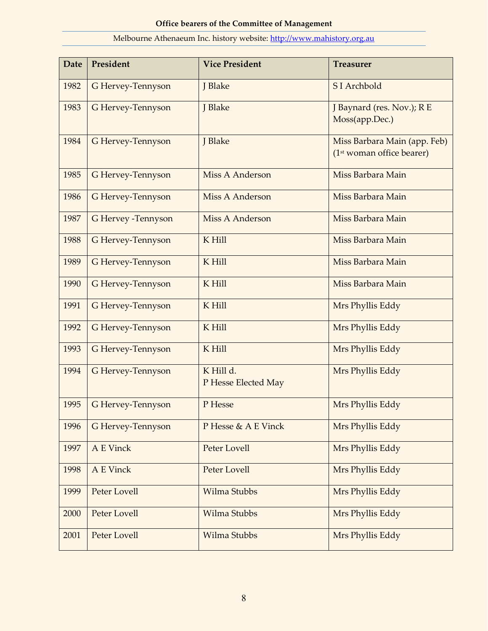## **Date President Vice President Treasurer** 1982 G Hervey-Tennyson J J Blake S I Archbold 1983 G Hervey-Tennyson J J Blake J J Baynard (res. Nov.); R E Moss(app.Dec.) 1984 G Hervey-Tennyson J J Blake Miss Barbara Main (app. Feb) (1st woman office bearer) 1985 G Hervey-Tennyson Miss A Anderson Miss Barbara Main 1986 G Hervey-Tennyson Miss A Anderson Miss Barbara Main 1987 | G Hervey -Tennyson | Miss A Anderson | Miss Barbara Main 1988 G Hervey-Tennyson K Hill Miss Barbara Main 1989 | G Hervey-Tennyson | K Hill | Miss Barbara Main 1990 G Hervey-Tennyson K Hill K Hill Miss Barbara Main 1991 G Hervey-Tennyson K Hill Mrs Phyllis Eddy 1992 G Hervey-Tennyson K Hill Mrs Phyllis Eddy 1993 G Hervey-Tennyson K Hill Mrs Phyllis Eddy 1994 G Hervey-Tennyson K Hill d. P Hesse Elected May Mrs Phyllis Eddy 1995 G Hervey-Tennyson P Hesse Mrs Phyllis Eddy 1996 G Hervey-Tennyson P Hesse & A E Vinck Mrs Phyllis Eddy 1997 | A E Vinck | Peter Lovell Mrs Phyllis Eddy 1998 | A E Vinck | Peter Lovell Mrs Phyllis Eddy 1999 Peter Lovell Wilma Stubbs Mrs Phyllis Eddy 2000 Peter Lovell Wilma Stubbs Mrs Phyllis Eddy 2001 Peter Lovell Wilma Stubbs Mrs Phyllis Eddy

#### Melbourne Athenaeum Inc. history website: [http://www.mahistory.org.au](http://www.mahistory.org.au/)